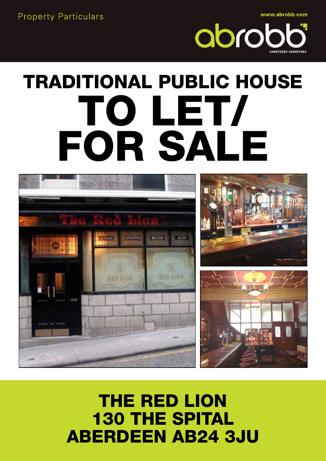**Property Particulars** 

www.abrobb.com



# TRADITIONAL PUBLIC HOUSE TO LET/ FOR SALE



### THE RED LION 130 THE SPITAL ABERDEEN AB24 3JU